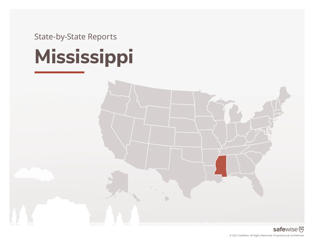State-by-State Reports

# **Mississippi**

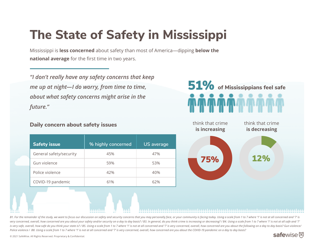# **The State of Safety in Mississippi**

Mississippi is **less concerned** about safety than most of America—dipping **below the national average** for the first time in two years.

*"I don't really have any safety concerns that keep me up at night—I do worry, from time to time, about what safety concerns might arise in the future."*

#### **Daily concern about safety issues**

|  | <b>Safety issue</b>     | % highly concerned | <b>US</b> average |
|--|-------------------------|--------------------|-------------------|
|  | General safety/security | 45%                | 47%               |
|  | Gun violence            | 59%                | 53%               |
|  | Police violence         | 42%                | 40%               |
|  | COVID-19 pandemic       | 61%                | 62%               |





B1. For the remainder of the study, we want to focus our discussion on safety and security concerns that you may personally face, or your community is facing today. Using a scale from 1 to 7 where '1' is not at all concern very concerned, overall, how concerned are you about your safety and/or security on a day to day basis? / B3. In general, do you think crime is increasing or decreasing? / B4. Using a scale from 1 to 7 where '1' is not at is very safe, overall, how safe do you think your state is? / B5. Using a scale from 1 to 7 where '1' is not at all concerned and '7' is very concerned, overall, how concerned are you about the following on a day to day ba *Police violence / B8. Using a scale from 1 to 7 where '1' is not at all concerned and '7' is very concerned, overall, how concerned are you about the COVID-19 pandemic on a day to day basis?* 

#### safewise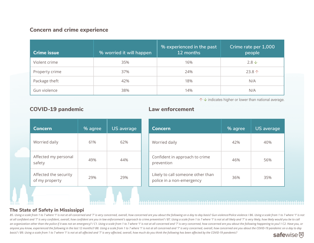#### **Concern and crime experience**

| <b>Crime issue</b> | % worried it will happen | % experienced in the past<br>12 months | Crime rate per 1,000<br>people |
|--------------------|--------------------------|----------------------------------------|--------------------------------|
| Violent crime      | 35%                      | 16%                                    | $2.8\,\mathrm{\downarrow}$     |
| Property crime     | 37%                      | 24%                                    | $23.8+$                        |
| Package theft      | 42%                      | 18%                                    | N/A                            |
| Gun violence       | 38%                      | 14%                                    | N/A                            |

↑ **↓** indicates higher or lower than national average.

| <b>Concern</b>                          | % agree | <b>US</b> average |
|-----------------------------------------|---------|-------------------|
| Worried daily                           | 61%     | 62%               |
| Affected my personal<br>safety          | 49%     | 44%               |
| Affected the security<br>of my property | 29%     | 29%               |
|                                         |         |                   |

#### **COVID-19 pandemic Law enforcement**

| <b>Concern</b>                                                 | % agree | <b>US</b> average |
|----------------------------------------------------------------|---------|-------------------|
| Worried daily                                                  | 42%     | 40%               |
| Confident in approach to crime<br>prevention                   | 46%     | 56%               |
| Likely to call someone other than<br>police in a non-emergency | 36%     | 35%               |

#### **The State of Safety in Mississippi**

B5. Using a scale from 1 to 7 where '1' is not at all concerned and '7' is very concerned, overall, how concerned are you about the following on a day to day basis? Gun violence/Police violence/ B6. Using a scale from 1 to at all confident and '7' is very confident, overall, how confident are you in law enforcement's approach to crime prevention? / B7. Using a scale from 1 to 7 where '1' is not at all likely and '7' is very likely, how likel an organization other than the police if it was not an emergency? / C1. Using a scale from 1 to 7 where '1' is not at all concerned and '7' is very concerned, how concerned are you about the following happening to you? / C anyone you know, experienced the following in the last 12 months?/ B8. Using a scale from 1 to 7 where '1' is not at all concerned and '7' is very concerned, overall, how concerned are you about the COVID-19 pandemic on a *basis? / B9. Using a scale from 1 to 7 where '1' is not at all affected and '7' is very affected, overall, how much do you think the following has been affected by the COVID-19 pandemic?*  safewise<sup>函</sup>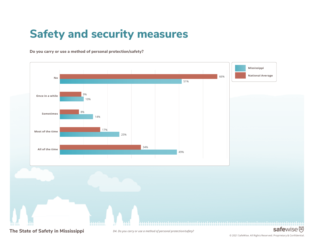## **Safety and security measures**

**Do you carry or use a method of personal protection/safety?** 



**The State of Safety in Mississippi**

*D4. Do you carry or use a method of personal protection/safety?*